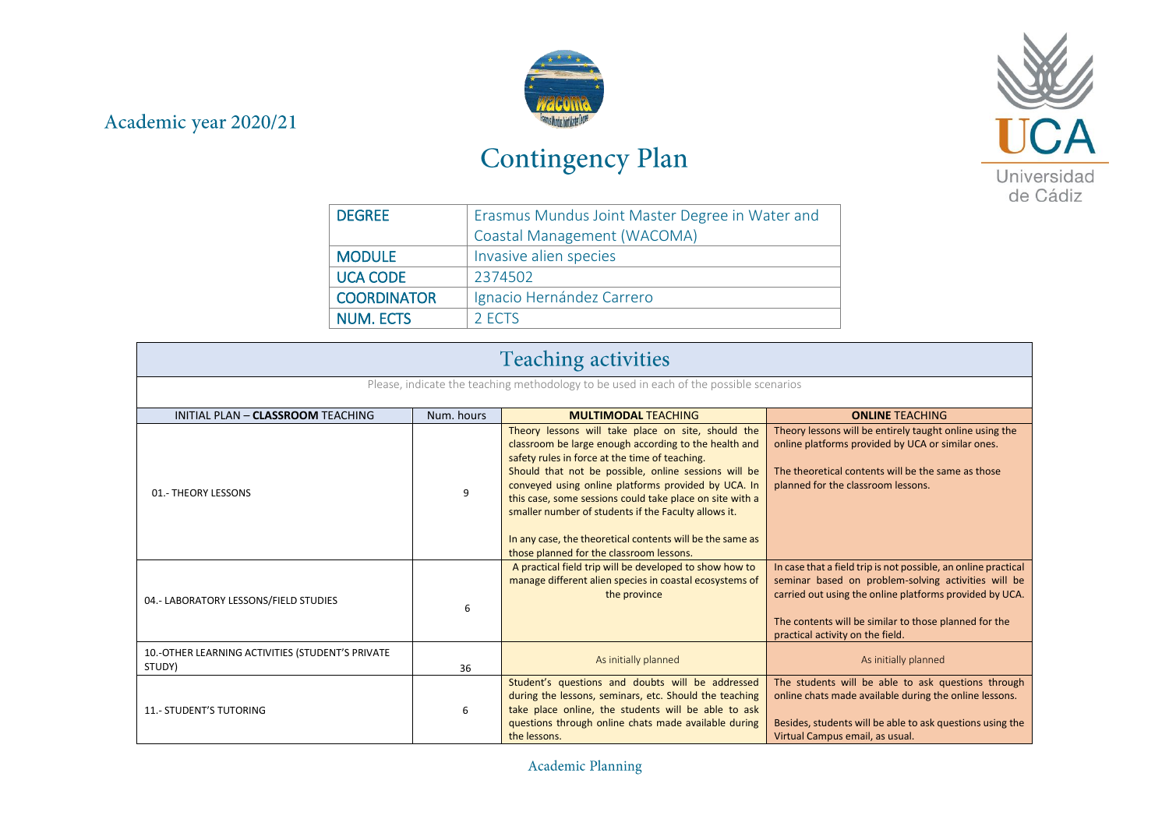## Academic year 2020/21



## Contingency Plan



| <b>DEGREE</b>      | Erasmus Mundus Joint Master Degree in Water and |
|--------------------|-------------------------------------------------|
|                    | Coastal Management (WACOMA)                     |
| <b>MODULE</b>      | Invasive alien species                          |
| <b>UCA CODE</b>    | 2374502                                         |
| <b>COORDINATOR</b> | Ignacio Hernández Carrero                       |
| <b>NUM. ECTS</b>   | 2 ECTS                                          |

| <b>Teaching activities</b>                                                             |            |                                                                                                                                                                                                                                                                                                                                                                                                                                                                                                           |                                                                                                                                                                                                                                                                               |  |
|----------------------------------------------------------------------------------------|------------|-----------------------------------------------------------------------------------------------------------------------------------------------------------------------------------------------------------------------------------------------------------------------------------------------------------------------------------------------------------------------------------------------------------------------------------------------------------------------------------------------------------|-------------------------------------------------------------------------------------------------------------------------------------------------------------------------------------------------------------------------------------------------------------------------------|--|
| Please, indicate the teaching methodology to be used in each of the possible scenarios |            |                                                                                                                                                                                                                                                                                                                                                                                                                                                                                                           |                                                                                                                                                                                                                                                                               |  |
| INITIAL PLAN - CLASSROOM TEACHING                                                      | Num. hours | <b>MULTIMODAL TEACHING</b>                                                                                                                                                                                                                                                                                                                                                                                                                                                                                | <b>ONLINE TEACHING</b>                                                                                                                                                                                                                                                        |  |
| 01.- THEORY LESSONS                                                                    | 9          | Theory lessons will take place on site, should the<br>classroom be large enough according to the health and<br>safety rules in force at the time of teaching.<br>Should that not be possible, online sessions will be<br>conveyed using online platforms provided by UCA. In<br>this case, some sessions could take place on site with a<br>smaller number of students if the Faculty allows it.<br>In any case, the theoretical contents will be the same as<br>those planned for the classroom lessons. | Theory lessons will be entirely taught online using the<br>online platforms provided by UCA or similar ones.<br>The theoretical contents will be the same as those<br>planned for the classroom lessons.                                                                      |  |
| 04.- LABORATORY LESSONS/FIELD STUDIES                                                  | 6          | A practical field trip will be developed to show how to<br>manage different alien species in coastal ecosystems of<br>the province                                                                                                                                                                                                                                                                                                                                                                        | In case that a field trip is not possible, an online practical<br>seminar based on problem-solving activities will be<br>carried out using the online platforms provided by UCA.<br>The contents will be similar to those planned for the<br>practical activity on the field. |  |
| 10.-OTHER LEARNING ACTIVITIES (STUDENT'S PRIVATE<br>STUDY)                             | 36         | As initially planned                                                                                                                                                                                                                                                                                                                                                                                                                                                                                      | As initially planned                                                                                                                                                                                                                                                          |  |
| <b>11.- STUDENT'S TUTORING</b>                                                         | 6          | Student's questions and doubts will be addressed<br>during the lessons, seminars, etc. Should the teaching<br>take place online, the students will be able to ask<br>questions through online chats made available during<br>the lessons.                                                                                                                                                                                                                                                                 | The students will be able to ask questions through<br>online chats made available during the online lessons.<br>Besides, students will be able to ask questions using the<br>Virtual Campus email, as usual.                                                                  |  |

Academic Planning